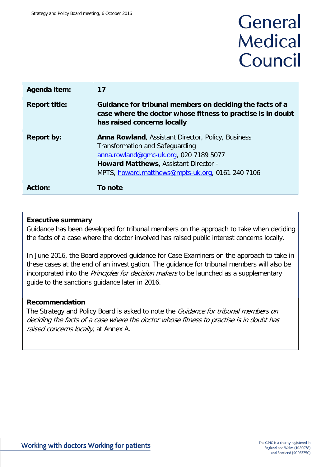# General **Medical** Council

| Agenda item:         | 17                                                                                                                                                                                                                                         |
|----------------------|--------------------------------------------------------------------------------------------------------------------------------------------------------------------------------------------------------------------------------------------|
| <b>Report title:</b> | Guidance for tribunal members on deciding the facts of a<br>case where the doctor whose fitness to practise is in doubt<br>has raised concerns locally                                                                                     |
| <b>Report by:</b>    | <b>Anna Rowland, Assistant Director, Policy, Business</b><br>Transformation and Safeguarding<br>anna.rowland@gmc-uk.org, 020 7189 5077<br><b>Howard Matthews, Assistant Director -</b><br>MPTS, howard.matthews@mpts-uk.org, 0161 240 7106 |
| Action:              | <b>To note</b>                                                                                                                                                                                                                             |

## **Executive summary**

Guidance has been developed for tribunal members on the approach to take when deciding the facts of a case where the doctor involved has raised public interest concerns locally.

In June 2016, the Board approved guidance for Case Examiners on the approach to take in these cases at the end of an investigation. The guidance for tribunal members will also be incorporated into the Principles for decision makers to be launched as a supplementary guide to the sanctions guidance later in 2016.

## **Recommendation**

The Strategy and Policy Board is asked to note the *Guidance for tribunal members on* deciding the facts of a case where the doctor whose fitness to practise is in doubt has raised concerns locally, at Annex A.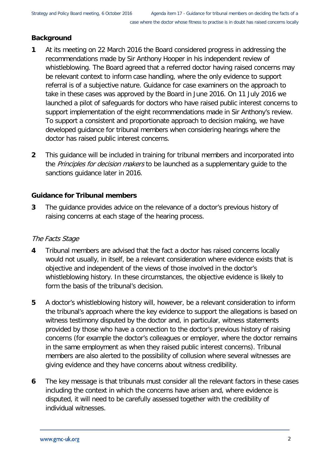# **Background**

- **1** At its meeting on 22 March 2016 the Board considered progress in addressing the recommendations made by Sir Anthony Hooper in his independent review of whistleblowing. The Board agreed that a referred doctor having raised concerns may be relevant context to inform case handling, where the only evidence to support referral is of a subjective nature. Guidance for case examiners on the approach to take in these cases was approved by the Board in June 2016. On 11 July 2016 we launched a pilot of safeguards for doctors who have raised public interest concerns to support implementation of the eight recommendations made in Sir Anthony's review. To support a consistent and proportionate approach to decision making, we have developed guidance for tribunal members when considering hearings where the doctor has raised public interest concerns.
- **2** This guidance will be included in training for tribunal members and incorporated into the Principles for decision makers to be launched as a supplementary guide to the sanctions guidance later in 2016.

## **Guidance for Tribunal members**

**3** The guidance provides advice on the relevance of a doctor's previous history of raising concerns at each stage of the hearing process.

# The Facts Stage

- **4** Tribunal members are advised that the fact a doctor has raised concerns locally would not usually, in itself, be a relevant consideration where evidence exists that is objective and independent of the views of those involved in the doctor's whistleblowing history. In these circumstances, the objective evidence is likely to form the basis of the tribunal's decision.
- **5** A doctor's whistleblowing history will, however, be a relevant consideration to inform the tribunal's approach where the key evidence to support the allegations is based on witness testimony disputed by the doctor and, in particular, witness statements provided by those who have a connection to the doctor's previous history of raising concerns (for example the doctor's colleagues or employer, where the doctor remains in the same employment as when they raised public interest concerns). Tribunal members are also alerted to the possibility of collusion where several witnesses are giving evidence and they have concerns about witness credibility.
- **6** The key message is that tribunals must consider all the relevant factors in these cases including the context in which the concerns have arisen and, where evidence is disputed, it will need to be carefully assessed together with the credibility of individual witnesses.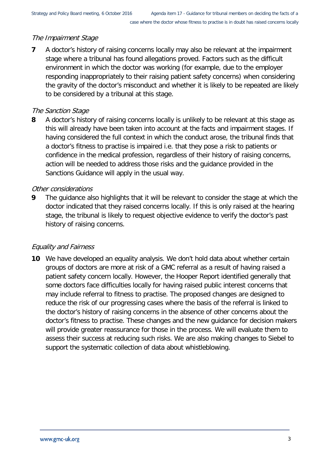## The Impairment Stage

**7** A doctor's history of raising concerns locally may also be relevant at the impairment stage where a tribunal has found allegations proved. Factors such as the difficult environment in which the doctor was working (for example, due to the employer responding inappropriately to their raising patient safety concerns) when considering the gravity of the doctor's misconduct and whether it is likely to be repeated are likely to be considered by a tribunal at this stage.

### The Sanction Stage

**8** A doctor's history of raising concerns locally is unlikely to be relevant at this stage as this will already have been taken into account at the facts and impairment stages. If having considered the full context in which the conduct arose, the tribunal finds that a doctor's fitness to practise is impaired i.e. that they pose a risk to patients or confidence in the medical profession, regardless of their history of raising concerns, action will be needed to address those risks and the guidance provided in the Sanctions Guidance will apply in the usual way.

### Other considerations

**9** The guidance also highlights that it will be relevant to consider the stage at which the doctor indicated that they raised concerns locally. If this is only raised at the hearing stage, the tribunal is likely to request objective evidence to verify the doctor's past history of raising concerns.

### Equality and Fairness

**10** We have developed an equality analysis. We don't hold data about whether certain groups of doctors are more at risk of a GMC referral as a result of having raised a patient safety concern locally. However, the Hooper Report identified generally that some doctors face difficulties locally for having raised public interest concerns that may include referral to fitness to practise. The proposed changes are designed to reduce the risk of our progressing cases where the basis of the referral is linked to the doctor's history of raising concerns in the absence of other concerns about the doctor's fitness to practise. These changes and the new guidance for decision makers will provide greater reassurance for those in the process. We will evaluate them to assess their success at reducing such risks. We are also making changes to Siebel to support the systematic collection of data about whistleblowing.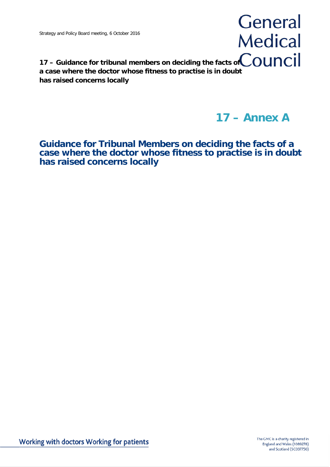# General **Medical**

17 – Guidance for tribunal members on deciding the facts of **COUNCII a case where the doctor whose fitness to practise is in doubt has raised concerns locally**

# **17 – Annex A**

**Guidance for Tribunal Members on deciding the facts of a case where the doctor whose fitness to practise is in doubt has raised concerns locally**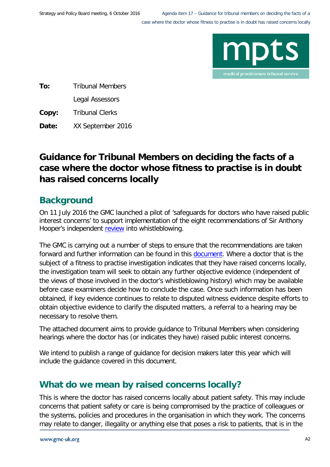

**To:** Tribunal Members Legal Assessors

**Copy:** Tribunal Clerks

**Date:** XX September 2016

# **Guidance for Tribunal Members on deciding the facts of a case where the doctor whose fitness to practise is in doubt has raised concerns locally**

# **Background**

On 11 July 2016 the GMC launched a pilot of 'safeguards for doctors who have raised public interest concerns' to support implementation of the eight recommendations of Sir Anthony Hooper's independent [review](http://www.gmc-uk.org/Hooper_review_final_60267393.pdf) into whistleblowing.

The GMC is carrying out a number of steps to ensure that the recommendations are taken forward and further information can be found in this **document**. Where a doctor that is the subject of a fitness to practise investigation indicates that they have raised concerns locally, the investigation team will seek to obtain any further objective evidence (independent of the views of those involved in the doctor's whistleblowing history) which may be available before case examiners decide how to conclude the case. Once such information has been obtained, if key evidence continues to relate to disputed witness evidence despite efforts to obtain objective evidence to clarify the disputed matters, a referral to a hearing may be necessary to resolve them.

The attached document aims to provide guidance to Tribunal Members when considering hearings where the doctor has (or indicates they have) raised public interest concerns.

We intend to publish a range of guidance for decision makers later this year which will include the guidance covered in this document.

# **What do we mean by raised concerns locally?**

This is where the doctor has raised concerns locally about patient safety. This may include concerns that patient safety or care is being compromised by the practice of colleagues or the systems, policies and procedures in the organisation in which they work. The concerns may relate to danger, illegality or anything else that poses a risk to patients, that is in the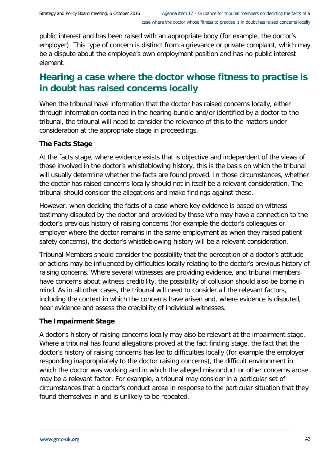public interest and has been raised with an appropriate body (for example, the doctor's employer). This type of concern is distinct from a grievance or private complaint, which may be a dispute about the employee's own employment position and has no public interest element.

# **Hearing a case where the doctor whose fitness to practise is in doubt has raised concerns locally**

When the tribunal have information that the doctor has raised concerns locally, either through information contained in the hearing bundle and/or identified by a doctor to the tribunal, the tribunal will need to consider the relevance of this to the matters under consideration at the appropriate stage in proceedings.

# **The Facts Stage**

At the facts stage, where evidence exists that is objective and independent of the views of those involved in the doctor's whistleblowing history, this is the basis on which the tribunal will usually determine whether the facts are found proved. In those circumstances, whether the doctor has raised concerns locally should not in itself be a relevant consideration. The tribunal should consider the allegations and make findings against these.

However, when deciding the facts of a case where key evidence is based on witness testimony disputed by the doctor and provided by those who may have a connection to the doctor's previous history of raising concerns (for example the doctor's colleagues or employer where the doctor remains in the same employment as when they raised patient safety concerns), the doctor's whistleblowing history will be a relevant consideration.

Tribunal Members should consider the possibility that the perception of a doctor's attitude or actions may be influenced by difficulties locally relating to the doctor's previous history of raising concerns. Where several witnesses are providing evidence, and tribunal members have concerns about witness credibility, the possibility of collusion should also be borne in mind. As in all other cases, the tribunal will need to consider all the relevant factors, including the context in which the concerns have arisen and, where evidence is disputed, hear evidence and assess the credibility of individual witnesses.

## **The Impairment Stage**

A doctor's history of raising concerns locally may also be relevant at the impairment stage. Where a tribunal has found allegations proved at the fact finding stage, the fact that the doctor's history of raising concerns has led to difficulties locally (for example the employer responding inappropriately to the doctor raising concerns), the difficult environment in which the doctor was working and in which the alleged misconduct or other concerns arose may be a relevant factor. For example, a tribunal may consider in a particular set of circumstances that a doctor's conduct arose in response to the particular situation that they found themselves in and is unlikely to be repeated.